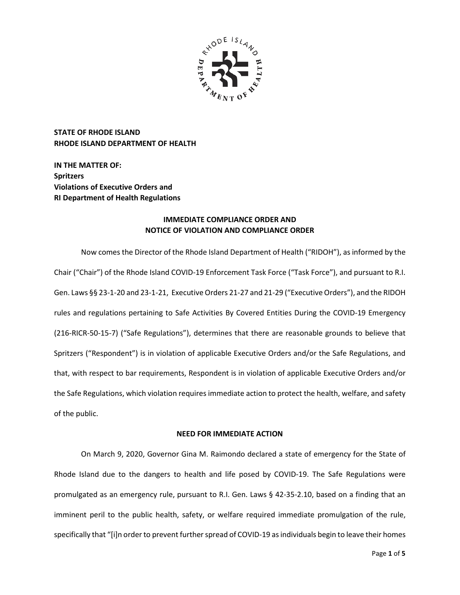

**STATE OF RHODE ISLAND RHODE ISLAND DEPARTMENT OF HEALTH**

**IN THE MATTER OF: Spritzers Violations of Executive Orders and RI Department of Health Regulations**

# **IMMEDIATE COMPLIANCE ORDER AND NOTICE OF VIOLATION AND COMPLIANCE ORDER**

Now comes the Director of the Rhode Island Department of Health ("RIDOH"), as informed by the Chair ("Chair") of the Rhode Island COVID-19 Enforcement Task Force ("Task Force"), and pursuant to R.I. Gen. Laws §§ 23-1-20 and 23-1-21, Executive Orders 21-27 and 21-29 ("Executive Orders"), and the RIDOH rules and regulations pertaining to Safe Activities By Covered Entities During the COVID-19 Emergency (216-RICR-50-15-7) ("Safe Regulations"), determines that there are reasonable grounds to believe that Spritzers ("Respondent") is in violation of applicable Executive Orders and/or the Safe Regulations, and that, with respect to bar requirements, Respondent is in violation of applicable Executive Orders and/or the Safe Regulations, which violation requires immediate action to protect the health, welfare, and safety of the public.

### **NEED FOR IMMEDIATE ACTION**

On March 9, 2020, Governor Gina M. Raimondo declared a state of emergency for the State of Rhode Island due to the dangers to health and life posed by COVID-19. The Safe Regulations were promulgated as an emergency rule, pursuant to R.I. Gen. Laws § 42-35-2.10, based on a finding that an imminent peril to the public health, safety, or welfare required immediate promulgation of the rule, specifically that "[i]n order to prevent further spread of COVID-19 as individuals begin to leave their homes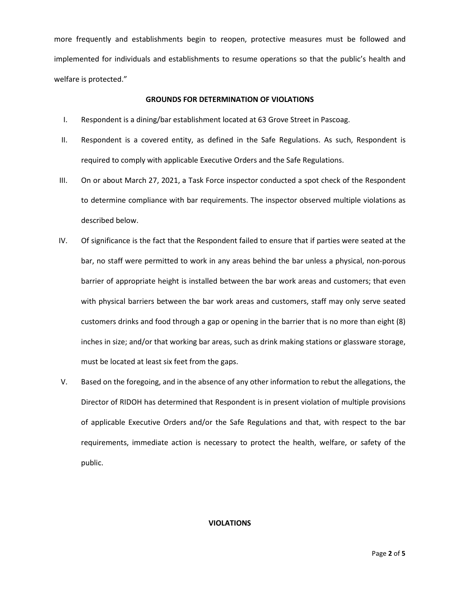more frequently and establishments begin to reopen, protective measures must be followed and implemented for individuals and establishments to resume operations so that the public's health and welfare is protected."

### **GROUNDS FOR DETERMINATION OF VIOLATIONS**

- I. Respondent is a dining/bar establishment located at 63 Grove Street in Pascoag.
- II. Respondent is a covered entity, as defined in the Safe Regulations. As such, Respondent is required to comply with applicable Executive Orders and the Safe Regulations.
- III. On or about March 27, 2021, a Task Force inspector conducted a spot check of the Respondent to determine compliance with bar requirements. The inspector observed multiple violations as described below.
- IV. Of significance is the fact that the Respondent failed to ensure that if parties were seated at the bar, no staff were permitted to work in any areas behind the bar unless a physical, non-porous barrier of appropriate height is installed between the bar work areas and customers; that even with physical barriers between the bar work areas and customers, staff may only serve seated customers drinks and food through a gap or opening in the barrier that is no more than eight (8) inches in size; and/or that working bar areas, such as drink making stations or glassware storage, must be located at least six feet from the gaps.
- V. Based on the foregoing, and in the absence of any other information to rebut the allegations, the Director of RIDOH has determined that Respondent is in present violation of multiple provisions of applicable Executive Orders and/or the Safe Regulations and that, with respect to the bar requirements, immediate action is necessary to protect the health, welfare, or safety of the public.

# **VIOLATIONS**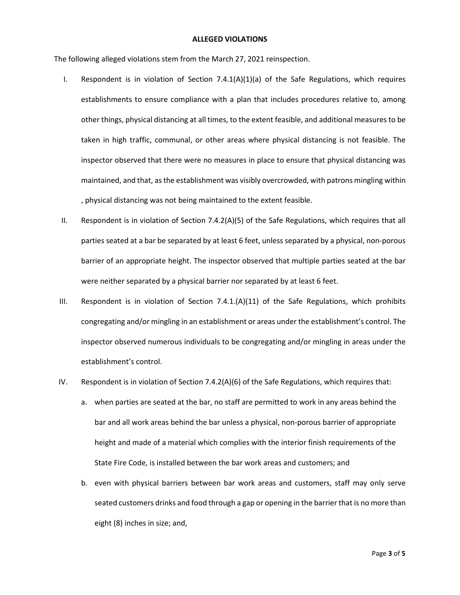#### **ALLEGED VIOLATIONS**

The following alleged violations stem from the March 27, 2021 reinspection.

- I. Respondent is in violation of Section 7.4.1(A)(1)(a) of the Safe Regulations, which requires establishments to ensure compliance with a plan that includes procedures relative to, among other things, physical distancing at all times, to the extent feasible, and additional measures to be taken in high traffic, communal, or other areas where physical distancing is not feasible. The inspector observed that there were no measures in place to ensure that physical distancing was maintained, and that, as the establishment was visibly overcrowded, with patrons mingling within , physical distancing was not being maintained to the extent feasible.
- II. Respondent is in violation of Section 7.4.2(A)(5) of the Safe Regulations, which requires that all parties seated at a bar be separated by at least 6 feet, unless separated by a physical, non-porous barrier of an appropriate height. The inspector observed that multiple parties seated at the bar were neither separated by a physical barrier nor separated by at least 6 feet.
- III. Respondent is in violation of Section 7.4.1.(A)(11) of the Safe Regulations, which prohibits congregating and/or mingling in an establishment or areas under the establishment's control. The inspector observed numerous individuals to be congregating and/or mingling in areas under the establishment's control.
- IV. Respondent is in violation of Section 7.4.2(A)(6) of the Safe Regulations, which requires that:
	- a. when parties are seated at the bar, no staff are permitted to work in any areas behind the bar and all work areas behind the bar unless a physical, non-porous barrier of appropriate height and made of a material which complies with the interior finish requirements of the State Fire Code, is installed between the bar work areas and customers; and
	- b. even with physical barriers between bar work areas and customers, staff may only serve seated customers drinks and food through a gap or opening in the barrier that is no more than eight (8) inches in size; and,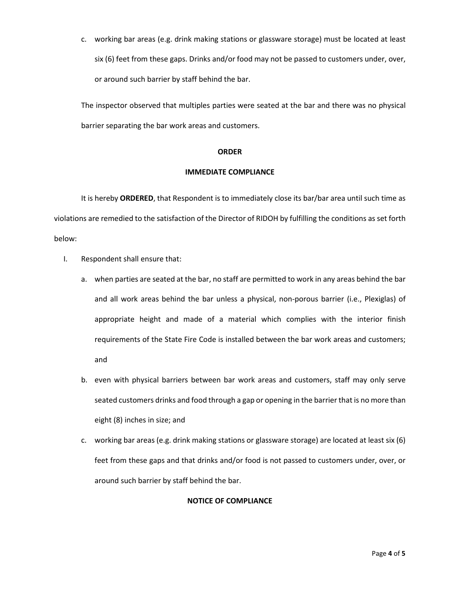c. working bar areas (e.g. drink making stations or glassware storage) must be located at least six (6) feet from these gaps. Drinks and/or food may not be passed to customers under, over, or around such barrier by staff behind the bar.

The inspector observed that multiples parties were seated at the bar and there was no physical barrier separating the bar work areas and customers.

### **ORDER**

## **IMMEDIATE COMPLIANCE**

It is hereby **ORDERED**, that Respondent is to immediately close its bar/bar area until such time as violations are remedied to the satisfaction of the Director of RIDOH by fulfilling the conditions as set forth below:

- I. Respondent shall ensure that:
	- a. when parties are seated at the bar, no staff are permitted to work in any areas behind the bar and all work areas behind the bar unless a physical, non-porous barrier (i.e., Plexiglas) of appropriate height and made of a material which complies with the interior finish requirements of the State Fire Code is installed between the bar work areas and customers; and
	- b. even with physical barriers between bar work areas and customers, staff may only serve seated customers drinks and food through a gap or opening in the barrier that is no more than eight (8) inches in size; and
	- c. working bar areas (e.g. drink making stations or glassware storage) are located at least six (6) feet from these gaps and that drinks and/or food is not passed to customers under, over, or around such barrier by staff behind the bar.

# **NOTICE OF COMPLIANCE**